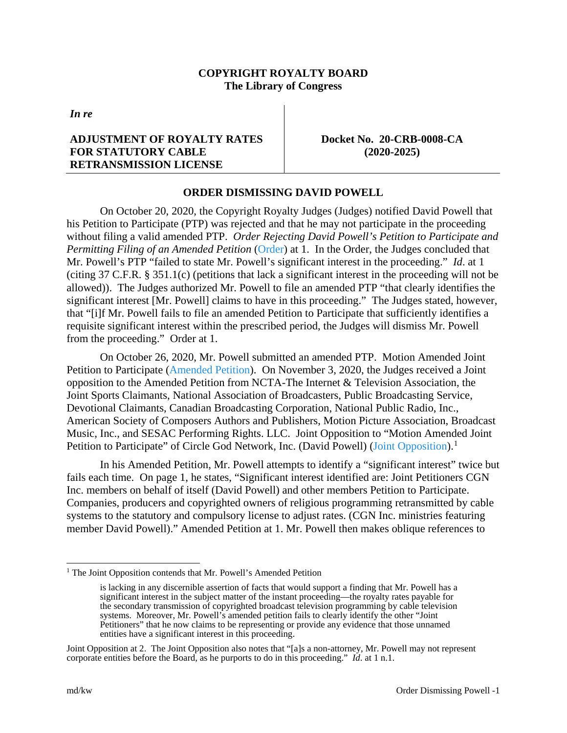## **COPYRIGHT ROYALTY BOARD The Library of Congress**

*In re*

## **ADJUSTMENT OF ROYALTY RATES FOR STATUTORY CABLE RETRANSMISSION LICENSE**

**Docket No. 20-CRB-0008-CA (2020-2025)**

## **ORDER DISMISSING DAVID POWELL**

On October 20, 2020, the Copyright Royalty Judges (Judges) notified David Powell that his Petition to Participate (PTP) was rejected and that he may not participate in the proceeding without filing a valid amended PTP. *Order Rejecting David Powell's Petition to Participate and Permitting Filing of an Amended Petition* [\(Order\)](https://app.crb.gov/case/viewDocument/22835) at 1. In the Order, the Judges concluded that Mr. Powell's PTP "failed to state Mr. Powell's significant interest in the proceeding." *Id*. at 1 (citing 37 C.F.R. § 351.1(c) (petitions that lack a significant interest in the proceeding will not be allowed)). The Judges authorized Mr. Powell to file an amended PTP "that clearly identifies the significant interest [Mr. Powell] claims to have in this proceeding." The Judges stated, however, that "[i]f Mr. Powell fails to file an amended Petition to Participate that sufficiently identifies a requisite significant interest within the prescribed period, the Judges will dismiss Mr. Powell from the proceeding." Order at 1.

On October 26, 2020, Mr. Powell submitted an amended PTP. Motion Amended Joint Petition to Participate [\(Amended Petition\)](https://app.crb.gov/case/viewDocument/22855). On November 3, 2020, the Judges received a Joint opposition to the Amended Petition from NCTA-The Internet & Television Association, the Joint Sports Claimants, National Association of Broadcasters, Public Broadcasting Service, Devotional Claimants, Canadian Broadcasting Corporation, National Public Radio, Inc., American Society of Composers Authors and Publishers, Motion Picture Association, Broadcast Music, Inc., and SESAC Performing Rights. LLC. Joint Opposition to "Motion Amended Joint Petition to Participate" of Circle God Network, Inc. (David Powell) [\(Joint Opposition\)](https://app.crb.gov/case/viewDocument/22892).<sup>[1](#page-0-0)</sup>

In his Amended Petition, Mr. Powell attempts to identify a "significant interest" twice but fails each time. On page 1, he states, "Significant interest identified are: Joint Petitioners CGN Inc. members on behalf of itself (David Powell) and other members Petition to Participate. Companies, producers and copyrighted owners of religious programming retransmitted by cable systems to the statutory and compulsory license to adjust rates. (CGN Inc. ministries featuring member David Powell)." Amended Petition at 1. Mr. Powell then makes oblique references to

<span id="page-0-0"></span> $<sup>1</sup>$  The Joint Opposition contends that Mr. Powell's Amended Petition</sup>

is lacking in any discernible assertion of facts that would support a finding that Mr. Powell has a significant interest in the subject matter of the instant proceeding—the royalty rates payable for the secondary transmission of copyrighted broadcast television programming by cable television systems. Moreover, Mr. Powell's amended petition fails to clearly identify the other "Joint Petitioners" that he now claims to be representing or provide any evidence that those unnamed entities have a significant interest in this proceeding.

Joint Opposition at 2. The Joint Opposition also notes that "[a]s a non-attorney, Mr. Powell may not represent corporate entities before the Board, as he purports to do in this proceeding." *Id*. at 1 n.1.